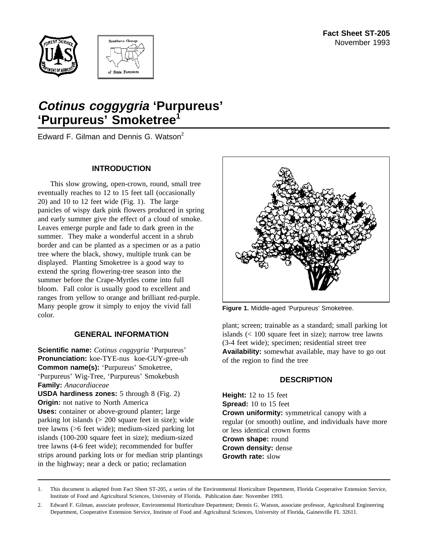



# **Cotinus coggygria 'Purpureus' 'Purpureus' Smoketree<sup>1</sup>**

Edward F. Gilman and Dennis G. Watson<sup>2</sup>

## **INTRODUCTION**

This slow growing, open-crown, round, small tree eventually reaches to 12 to 15 feet tall (occasionally 20) and 10 to 12 feet wide (Fig. 1). The large panicles of wispy dark pink flowers produced in spring and early summer give the effect of a cloud of smoke. Leaves emerge purple and fade to dark green in the summer. They make a wonderful accent in a shrub border and can be planted as a specimen or as a patio tree where the black, showy, multiple trunk can be displayed. Planting Smoketree is a good way to extend the spring flowering-tree season into the summer before the Crape-Myrtles come into full bloom. Fall color is usually good to excellent and ranges from yellow to orange and brilliant red-purple. Many people grow it simply to enjoy the vivid fall color.

# **GENERAL INFORMATION**

**Scientific name:** *Cotinus coggygria* 'Purpureus' **Pronunciation:** koe-TYE-nus koe-GUY-gree-uh **Common name(s):** 'Purpureus' Smoketree, 'Purpureus' Wig-Tree, 'Purpureus' Smokebush **Family:** *Anacardiaceae*

**USDA hardiness zones:** 5 through 8 (Fig. 2) **Origin:** not native to North America **Uses:** container or above-ground planter; large parking lot islands (> 200 square feet in size); wide tree lawns (>6 feet wide); medium-sized parking lot islands (100-200 square feet in size); medium-sized tree lawns (4-6 feet wide); recommended for buffer strips around parking lots or for median strip plantings in the highway; near a deck or patio; reclamation



**Figure 1.** Middle-aged 'Purpureus' Smoketree.

plant; screen; trainable as a standard; small parking lot islands (< 100 square feet in size); narrow tree lawns (3-4 feet wide); specimen; residential street tree **Availability:** somewhat available, may have to go out of the region to find the tree

# **DESCRIPTION**

**Height:** 12 to 15 feet **Spread:** 10 to 15 feet **Crown uniformity:** symmetrical canopy with a regular (or smooth) outline, and individuals have more or less identical crown forms **Crown shape:** round **Crown density:** dense **Growth rate:** slow

<sup>1.</sup> This document is adapted from Fact Sheet ST-205, a series of the Environmental Horticulture Department, Florida Cooperative Extension Service, Institute of Food and Agricultural Sciences, University of Florida. Publication date: November 1993.

<sup>2.</sup> Edward F. Gilman, associate professor, Environmental Horticulture Department; Dennis G. Watson, associate professor, Agricultural Engineering Department, Cooperative Extension Service, Institute of Food and Agricultural Sciences, University of Florida, Gainesville FL 32611.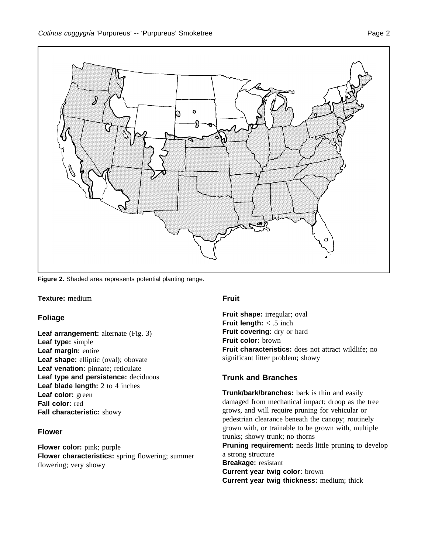

**Figure 2.** Shaded area represents potential planting range.

### **Texture:** medium

# **Foliage**

**Leaf arrangement:** alternate (Fig. 3) **Leaf type:** simple **Leaf margin:** entire Leaf shape: elliptic (oval); obovate Leaf venation: pinnate; reticulate **Leaf type and persistence:** deciduous **Leaf blade length:** 2 to 4 inches **Leaf color:** green **Fall color:** red **Fall characteristic:** showy

### **Flower**

**Flower color:** pink; purple **Flower characteristics:** spring flowering; summer flowering; very showy

# **Fruit**

**Fruit shape:** irregular; oval **Fruit length:** < .5 inch **Fruit covering:** dry or hard **Fruit color:** brown **Fruit characteristics:** does not attract wildlife; no significant litter problem; showy

# **Trunk and Branches**

**Trunk/bark/branches:** bark is thin and easily damaged from mechanical impact; droop as the tree grows, and will require pruning for vehicular or pedestrian clearance beneath the canopy; routinely grown with, or trainable to be grown with, multiple trunks; showy trunk; no thorns **Pruning requirement:** needs little pruning to develop a strong structure **Breakage:** resistant **Current year twig color:** brown **Current year twig thickness:** medium; thick